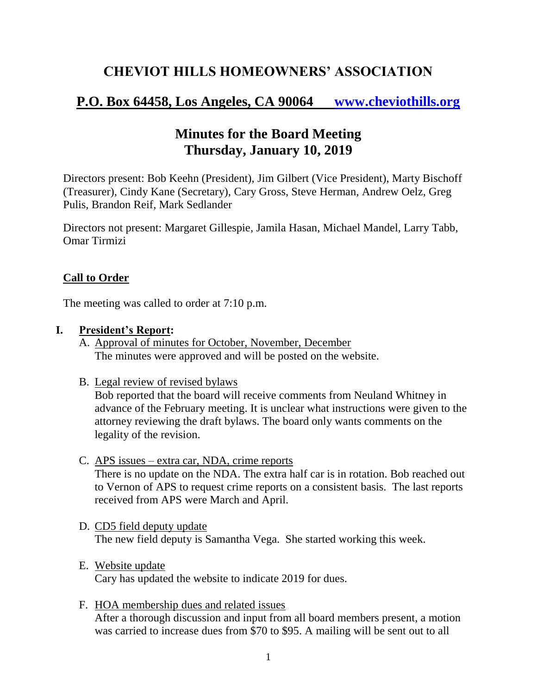# **CHEVIOT HILLS HOMEOWNERS' ASSOCIATION**

## **P.O. Box 64458, Los Angeles, CA 90064 [www.cheviothills.org](http://www.cheviothills.org/)**

## **Minutes for the Board Meeting Thursday, January 10, 2019**

Directors present: Bob Keehn (President), Jim Gilbert (Vice President), Marty Bischoff (Treasurer), Cindy Kane (Secretary), Cary Gross, Steve Herman, Andrew Oelz, Greg Pulis, Brandon Reif, Mark Sedlander

Directors not present: Margaret Gillespie, Jamila Hasan, Michael Mandel, Larry Tabb, Omar Tirmizi

#### **Call to Order**

The meeting was called to order at 7:10 p.m.

#### **I. President's Report:**

- A. Approval of minutes for October, November, December The minutes were approved and will be posted on the website.
- B. Legal review of revised bylaws

Bob reported that the board will receive comments from Neuland Whitney in advance of the February meeting. It is unclear what instructions were given to the attorney reviewing the draft bylaws. The board only wants comments on the legality of the revision.

C. APS issues – extra car, NDA, crime reports

There is no update on the NDA. The extra half car is in rotation. Bob reached out to Vernon of APS to request crime reports on a consistent basis. The last reports received from APS were March and April.

- D. CD5 field deputy update The new field deputy is Samantha Vega. She started working this week.
- E. Website update Cary has updated the website to indicate 2019 for dues.
- F. HOA membership dues and related issues After a thorough discussion and input from all board members present, a motion was carried to increase dues from \$70 to \$95. A mailing will be sent out to all